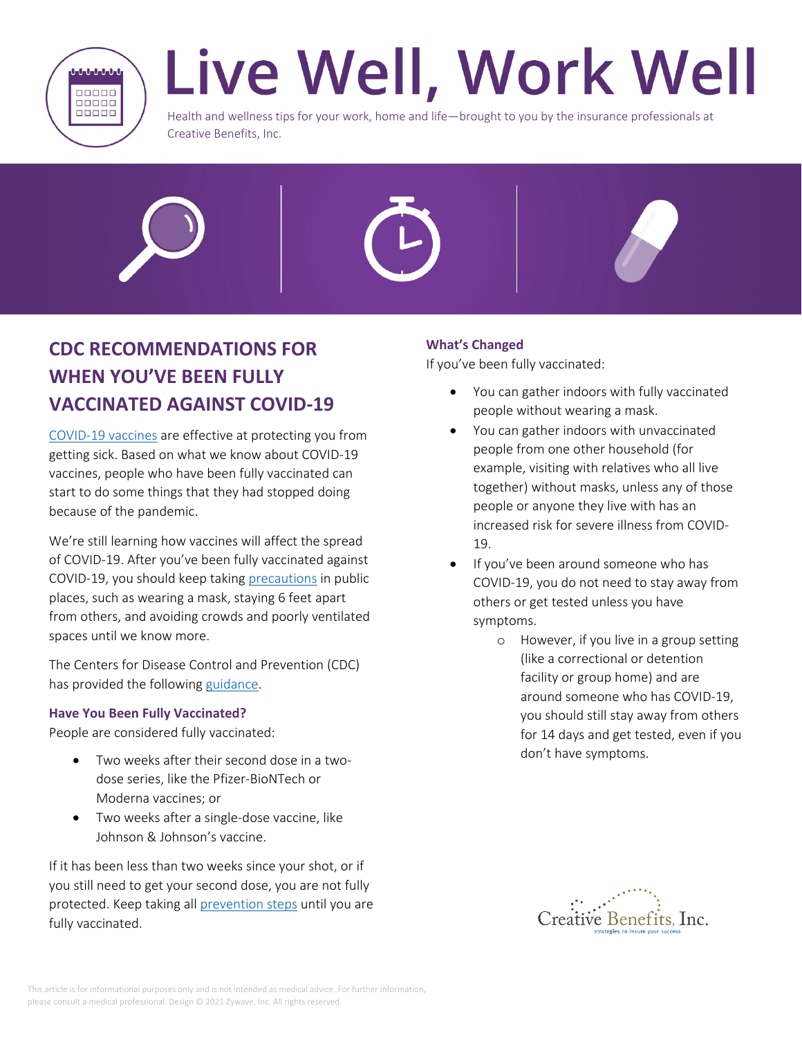

# Live Well, Work Well

Health and wellness tips for your work, home and life—brought to you by the insurance professionals at Creative Benefits, Inc.





# **CDC RECOMMENDATIONS FOR WHEN YOU'VE BEEN FULLY VACCINATED AGAINST COVID-19**

[COVID-19 vaccines](https://www.cdc.gov/coronavirus/2019-ncov/vaccines/keythingstoknow.html) are effective at protecting you from getting sick. Based on what we know about COVID-19 vaccines, people who have been fully vaccinated can start to do some things that they had stopped doing because of the pandemic.

We're still learning how vaccines will affect the spread of COVID-19. After you've been fully vaccinated against COVID-19, you should keep taking [precautions](https://www.cdc.gov/coronavirus/2019-ncov/prevent-getting-sick/prevention.html) in public places, such as wearing a mask, staying 6 feet apart from others, and avoiding crowds and poorly ventilated spaces until we know more.

The Centers for Disease Control and Prevention (CDC) has provided the following [guidance](https://www.cdc.gov/coronavirus/2019-ncov/vaccines/fully-vaccinated.html).

## **Have You Been Fully Vaccinated?**

People are considered fully vaccinated:

- Two weeks after their second dose in a twodose series, like the Pfizer-BioNTech or Moderna vaccines; or
- Two weeks after a single-dose vaccine, like Johnson & Johnson's vaccine.

If it has been less than two weeks since your shot, or if you still need to get your second dose, you are not fully protected. Keep taking all [prevention steps](https://www.cdc.gov/coronavirus/2019-ncov/prevent-getting-sick/prevention.html) until you are fully vaccinated.

# **What's Changed**

If you've been fully vaccinated:

- You can gather indoors with fully vaccinated people without wearing a mask.
- You can gather indoors with unvaccinated people from one other household (for example, visiting with relatives who all live together) without masks, unless any of those people or anyone they live with has an increased risk for severe illness from COVID-19.
- If you've been around someone who has COVID-19, you do not need to stay away from others or get tested unless you have symptoms.
	- o However, if you live in a group setting (like a correctional or detention facility or group home) and are around someone who has COVID-19, you should still stay away from others for 14 days and get tested, even if you don't have symptoms.